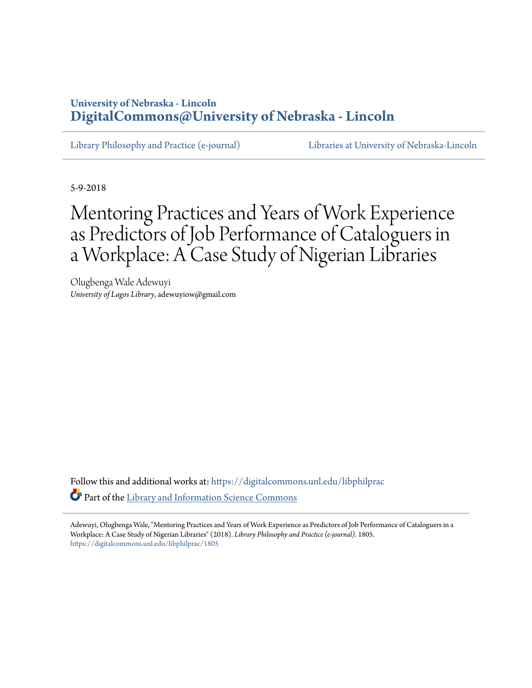# **University of Nebraska - Lincoln [DigitalCommons@University of Nebraska - Lincoln](https://digitalcommons.unl.edu?utm_source=digitalcommons.unl.edu%2Flibphilprac%2F1805&utm_medium=PDF&utm_campaign=PDFCoverPages)**

[Library Philosophy and Practice \(e-journal\)](https://digitalcommons.unl.edu/libphilprac?utm_source=digitalcommons.unl.edu%2Flibphilprac%2F1805&utm_medium=PDF&utm_campaign=PDFCoverPages) [Libraries at University of Nebraska-Lincoln](https://digitalcommons.unl.edu/libraries?utm_source=digitalcommons.unl.edu%2Flibphilprac%2F1805&utm_medium=PDF&utm_campaign=PDFCoverPages)

5-9-2018

# Mentoring Practices and Years of Work Experience as Predictors of Job Performance of Cataloguers in a Workplace: A Case Study of Nigerian Libraries

Olugbenga Wale Adewuyi *University of Lagos Library*, adewuyiow@gmail.com

Follow this and additional works at: [https://digitalcommons.unl.edu/libphilprac](https://digitalcommons.unl.edu/libphilprac?utm_source=digitalcommons.unl.edu%2Flibphilprac%2F1805&utm_medium=PDF&utm_campaign=PDFCoverPages) Part of the [Library and Information Science Commons](http://network.bepress.com/hgg/discipline/1018?utm_source=digitalcommons.unl.edu%2Flibphilprac%2F1805&utm_medium=PDF&utm_campaign=PDFCoverPages)

Adewuyi, Olugbenga Wale, "Mentoring Practices and Years of Work Experience as Predictors of Job Performance of Cataloguers in a Workplace: A Case Study of Nigerian Libraries" (2018). *Library Philosophy and Practice (e-journal)*. 1805. [https://digitalcommons.unl.edu/libphilprac/1805](https://digitalcommons.unl.edu/libphilprac/1805?utm_source=digitalcommons.unl.edu%2Flibphilprac%2F1805&utm_medium=PDF&utm_campaign=PDFCoverPages)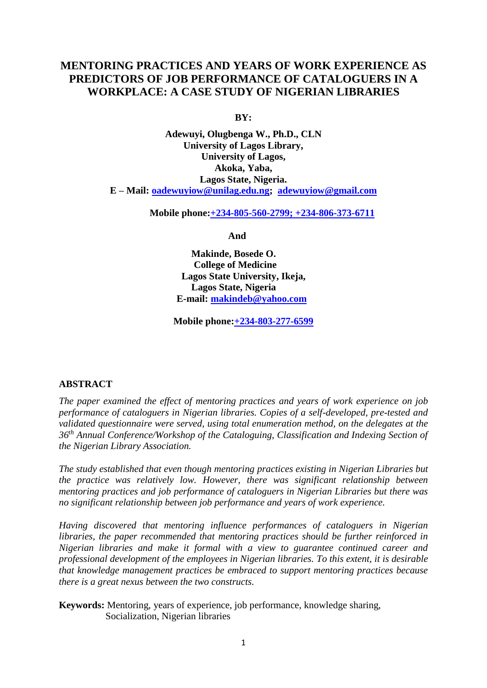# **MENTORING PRACTICES AND YEARS OF WORK EXPERIENCE AS PREDICTORS OF JOB PERFORMANCE OF CATALOGUERS IN A WORKPLACE: A CASE STUDY OF NIGERIAN LIBRARIES**

**BY:**

**Adewuyi, Olugbenga W., Ph.D., CLN University of Lagos Library, University of Lagos, Akoka, Yaba, Lagos State, Nigeria. E – Mail: [oadewuyiow@unilag.edu.ng;](mailto:oadewuyiow@unilag.edu.ng) [adewuyiow@gmail.com](mailto:adewuyiow@gmail.com)**

 **Mobile phone:+234-805-560-2799; +234-806-373-6711**

 **And**

 **Makinde, Bosede O. College of Medicine Lagos State University, Ikeja, Lagos State, Nigeria E-mail: [makindeb@yahoo.com](mailto:makindeb@yahoo.com)**

**Mobile phone:+234-803-277-6599**

# **ABSTRACT**

*The paper examined the effect of mentoring practices and years of work experience on job performance of cataloguers in Nigerian libraries. Copies of a self-developed, pre-tested and validated questionnaire were served, using total enumeration method, on the delegates at the 36th Annual Conference/Workshop of the Cataloguing, Classification and Indexing Section of the Nigerian Library Association.* 

*The study established that even though mentoring practices existing in Nigerian Libraries but the practice was relatively low. However, there was significant relationship between mentoring practices and job performance of cataloguers in Nigerian Libraries but there was no significant relationship between job performance and years of work experience.* 

*Having discovered that mentoring influence performances of cataloguers in Nigerian libraries, the paper recommended that mentoring practices should be further reinforced in Nigerian libraries and make it formal with a view to guarantee continued career and professional development of the employees in Nigerian libraries. To this extent, it is desirable that knowledge management practices be embraced to support mentoring practices because there is a great nexus between the two constructs.*

**Keywords:** Mentoring, years of experience, job performance, knowledge sharing, Socialization, Nigerian libraries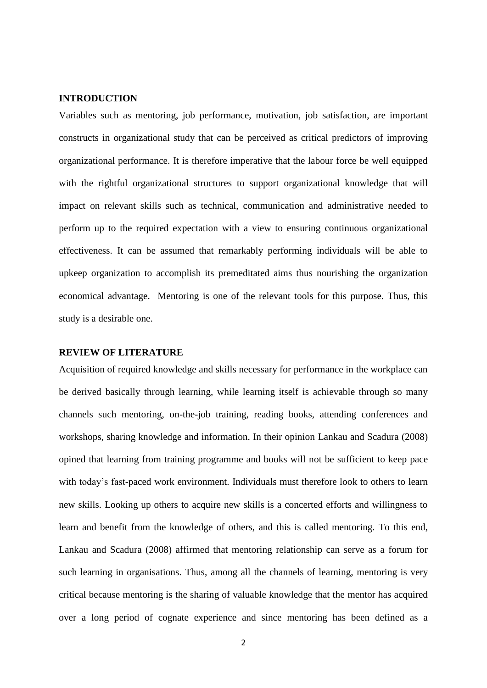## **INTRODUCTION**

Variables such as mentoring, job performance, motivation, job satisfaction, are important constructs in organizational study that can be perceived as critical predictors of improving organizational performance. It is therefore imperative that the labour force be well equipped with the rightful organizational structures to support organizational knowledge that will impact on relevant skills such as technical, communication and administrative needed to perform up to the required expectation with a view to ensuring continuous organizational effectiveness. It can be assumed that remarkably performing individuals will be able to upkeep organization to accomplish its premeditated aims thus nourishing the organization economical advantage. Mentoring is one of the relevant tools for this purpose. Thus, this study is a desirable one.

#### **REVIEW OF LITERATURE**

Acquisition of required knowledge and skills necessary for performance in the workplace can be derived basically through learning, while learning itself is achievable through so many channels such mentoring, on-the-job training, reading books, attending conferences and workshops, sharing knowledge and information. In their opinion Lankau and Scadura (2008) opined that learning from training programme and books will not be sufficient to keep pace with today's fast-paced work environment. Individuals must therefore look to others to learn new skills. Looking up others to acquire new skills is a concerted efforts and willingness to learn and benefit from the knowledge of others, and this is called mentoring. To this end, Lankau and Scadura (2008) affirmed that mentoring relationship can serve as a forum for such learning in organisations. Thus, among all the channels of learning, mentoring is very critical because mentoring is the sharing of valuable knowledge that the mentor has acquired over a long period of cognate experience and since mentoring has been defined as a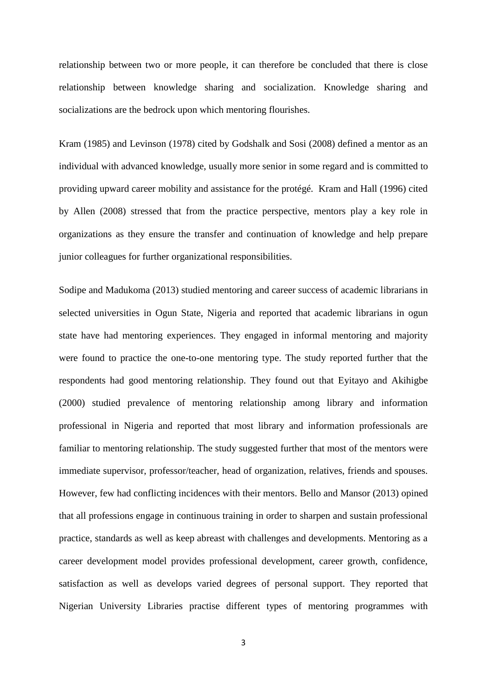relationship between two or more people, it can therefore be concluded that there is close relationship between knowledge sharing and socialization. Knowledge sharing and socializations are the bedrock upon which mentoring flourishes.

Kram (1985) and Levinson (1978) cited by Godshalk and Sosi (2008) defined a mentor as an individual with advanced knowledge, usually more senior in some regard and is committed to providing upward career mobility and assistance for the protégé. Kram and Hall (1996) cited by Allen (2008) stressed that from the practice perspective, mentors play a key role in organizations as they ensure the transfer and continuation of knowledge and help prepare junior colleagues for further organizational responsibilities.

Sodipe and Madukoma (2013) studied mentoring and career success of academic librarians in selected universities in Ogun State, Nigeria and reported that academic librarians in ogun state have had mentoring experiences. They engaged in informal mentoring and majority were found to practice the one-to-one mentoring type. The study reported further that the respondents had good mentoring relationship. They found out that Eyitayo and Akihigbe (2000) studied prevalence of mentoring relationship among library and information professional in Nigeria and reported that most library and information professionals are familiar to mentoring relationship. The study suggested further that most of the mentors were immediate supervisor, professor/teacher, head of organization, relatives, friends and spouses. However, few had conflicting incidences with their mentors. Bello and Mansor (2013) opined that all professions engage in continuous training in order to sharpen and sustain professional practice, standards as well as keep abreast with challenges and developments. Mentoring as a career development model provides professional development, career growth, confidence, satisfaction as well as develops varied degrees of personal support. They reported that Nigerian University Libraries practise different types of mentoring programmes with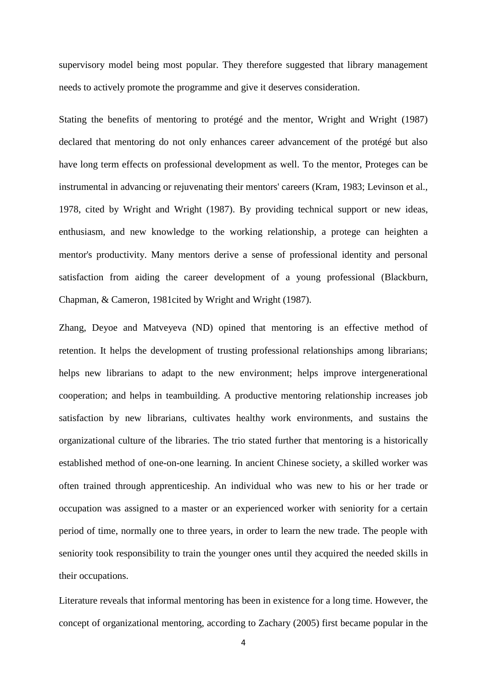supervisory model being most popular. They therefore suggested that library management needs to actively promote the programme and give it deserves consideration.

Stating the benefits of mentoring to protégé and the mentor, Wright and Wright (1987) declared that mentoring do not only enhances career advancement of the protégé but also have long term effects on professional development as well. To the mentor, Proteges can be instrumental in advancing or rejuvenating their mentors' careers (Kram, 1983; Levinson et al., 1978, cited by Wright and Wright (1987). By providing technical support or new ideas, enthusiasm, and new knowledge to the working relationship, a protege can heighten a mentor's productivity. Many mentors derive a sense of professional identity and personal satisfaction from aiding the career development of a young professional (Blackburn, Chapman, & Cameron, 1981cited by Wright and Wright (1987).

Zhang, Deyoe and Matveyeva (ND) opined that mentoring is an effective method of retention. It helps the development of trusting professional relationships among librarians; helps new librarians to adapt to the new environment; helps improve intergenerational cooperation; and helps in teambuilding. A productive mentoring relationship increases job satisfaction by new librarians, cultivates healthy work environments, and sustains the organizational culture of the libraries. The trio stated further that mentoring is a historically established method of one-on-one learning. In ancient Chinese society, a skilled worker was often trained through apprenticeship. An individual who was new to his or her trade or occupation was assigned to a master or an experienced worker with seniority for a certain period of time, normally one to three years, in order to learn the new trade. The people with seniority took responsibility to train the younger ones until they acquired the needed skills in their occupations.

Literature reveals that informal mentoring has been in existence for a long time. However, the concept of organizational mentoring, according to Zachary (2005) first became popular in the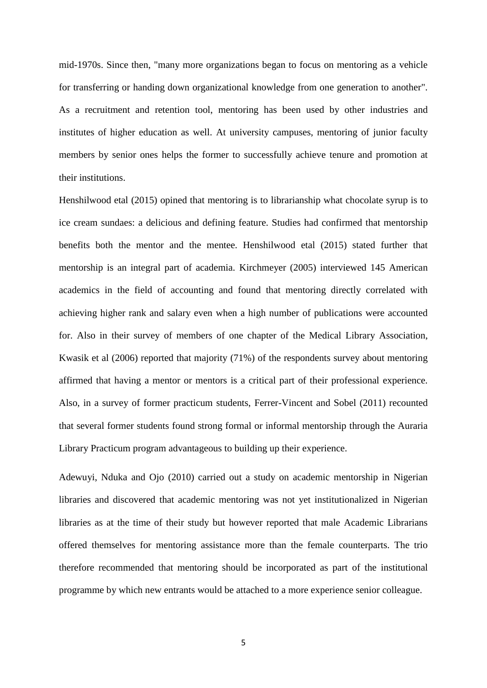mid-1970s. Since then, "many more organizations began to focus on mentoring as a vehicle for transferring or handing down organizational knowledge from one generation to another". As a recruitment and retention tool, mentoring has been used by other industries and institutes of higher education as well. At university campuses, mentoring of junior faculty members by senior ones helps the former to successfully achieve tenure and promotion at their institutions.

Henshilwood etal (2015) opined that mentoring is to librarianship what chocolate syrup is to ice cream sundaes: a delicious and defining feature. Studies had confirmed that mentorship benefits both the mentor and the mentee. Henshilwood etal (2015) stated further that mentorship is an integral part of academia. Kirchmeyer (2005) interviewed 145 American academics in the field of accounting and found that mentoring directly correlated with achieving higher rank and salary even when a high number of publications were accounted for. Also in their survey of members of one chapter of the Medical Library Association, Kwasik et al (2006) reported that majority (71%) of the respondents survey about mentoring affirmed that having a mentor or mentors is a critical part of their professional experience. Also, in a survey of former practicum students, Ferrer-Vincent and Sobel (2011) recounted that several former students found strong formal or informal mentorship through the Auraria Library Practicum program advantageous to building up their experience.

Adewuyi, Nduka and Ojo (2010) carried out a study on academic mentorship in Nigerian libraries and discovered that academic mentoring was not yet institutionalized in Nigerian libraries as at the time of their study but however reported that male Academic Librarians offered themselves for mentoring assistance more than the female counterparts. The trio therefore recommended that mentoring should be incorporated as part of the institutional programme by which new entrants would be attached to a more experience senior colleague.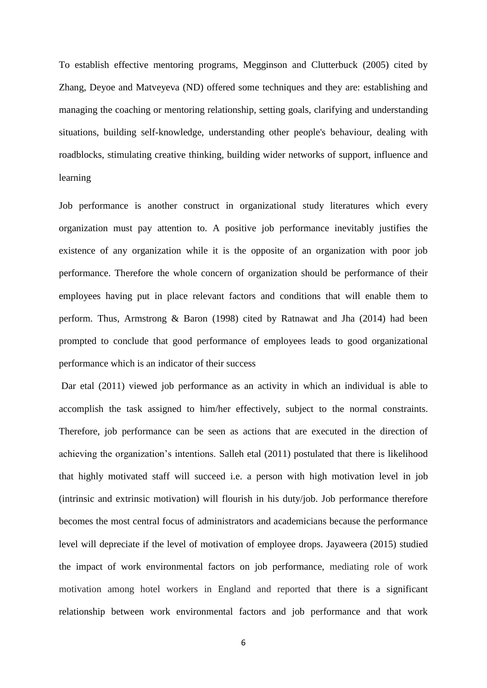To establish effective mentoring programs, Megginson and Clutterbuck (2005) cited by Zhang, Deyoe and Matveyeva (ND) offered some techniques and they are: establishing and managing the coaching or mentoring relationship, setting goals, clarifying and understanding situations, building self-knowledge, understanding other people's behaviour, dealing with roadblocks, stimulating creative thinking, building wider networks of support, influence and learning

Job performance is another construct in organizational study literatures which every organization must pay attention to. A positive job performance inevitably justifies the existence of any organization while it is the opposite of an organization with poor job performance. Therefore the whole concern of organization should be performance of their employees having put in place relevant factors and conditions that will enable them to perform. Thus, Armstrong & Baron (1998) cited by Ratnawat and Jha (2014) had been prompted to conclude that good performance of employees leads to good organizational performance which is an indicator of their success

Dar etal (2011) viewed job performance as an activity in which an individual is able to accomplish the task assigned to him/her effectively, subject to the normal constraints. Therefore, job performance can be seen as actions that are executed in the direction of achieving the organization's intentions. Salleh etal (2011) postulated that there is likelihood that highly motivated staff will succeed i.e. a person with high motivation level in job (intrinsic and extrinsic motivation) will flourish in his duty/job. Job performance therefore becomes the most central focus of administrators and academicians because the performance level will depreciate if the level of motivation of employee drops. Jayaweera (2015) studied the impact of work environmental factors on job performance, mediating role of work motivation among hotel workers in England and reported that there is a significant relationship between work environmental factors and job performance and that work

6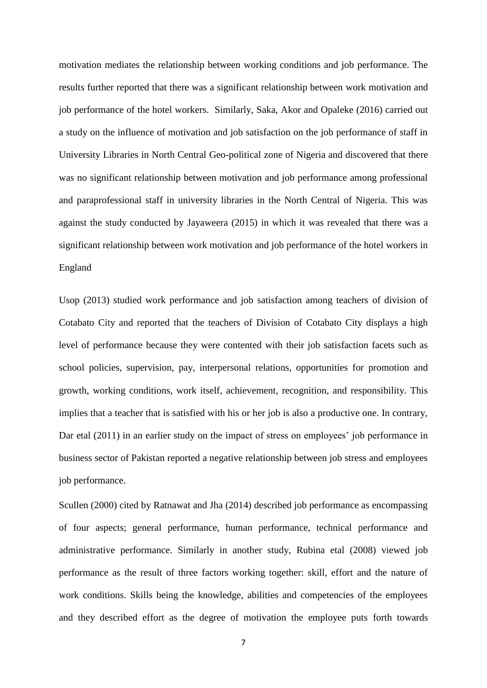motivation mediates the relationship between working conditions and job performance. The results further reported that there was a significant relationship between work motivation and job performance of the hotel workers. Similarly, Saka, Akor and Opaleke (2016) carried out a study on the influence of motivation and job satisfaction on the job performance of staff in University Libraries in North Central Geo-political zone of Nigeria and discovered that there was no significant relationship between motivation and job performance among professional and paraprofessional staff in university libraries in the North Central of Nigeria. This was against the study conducted by Jayaweera (2015) in which it was revealed that there was a significant relationship between work motivation and job performance of the hotel workers in England

Usop (2013) studied work performance and job satisfaction among teachers of division of Cotabato City and reported that the teachers of Division of Cotabato City displays a high level of performance because they were contented with their job satisfaction facets such as school policies, supervision, pay, interpersonal relations, opportunities for promotion and growth, working conditions, work itself, achievement, recognition, and responsibility. This implies that a teacher that is satisfied with his or her job is also a productive one. In contrary, Dar etal (2011) in an earlier study on the impact of stress on employees' job performance in business sector of Pakistan reported a negative relationship between job stress and employees job performance.

Scullen (2000) cited by Ratnawat and Jha (2014) described job performance as encompassing of four aspects; general performance, human performance, technical performance and administrative performance. Similarly in another study, Rubina etal (2008) viewed job performance as the result of three factors working together: skill, effort and the nature of work conditions. Skills being the knowledge, abilities and competencies of the employees and they described effort as the degree of motivation the employee puts forth towards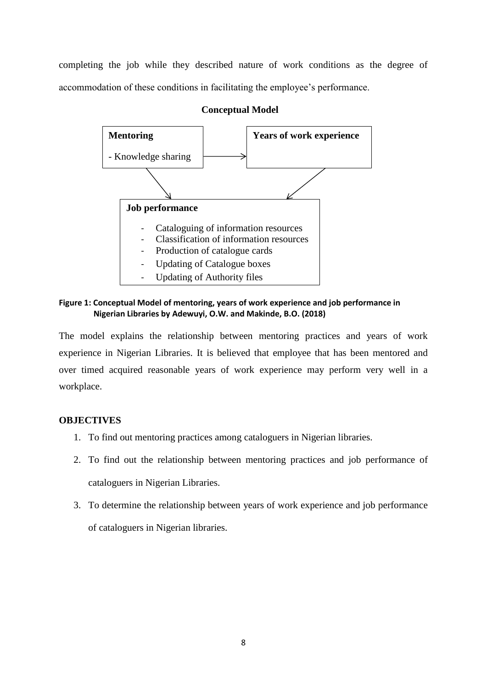completing the job while they described nature of work conditions as the degree of accommodation of these conditions in facilitating the employee's performance.



## **Conceptual Model**

**Figure 1: Conceptual Model of mentoring, years of work experience and job performance in Nigerian Libraries by Adewuyi, O.W. and Makinde, B.O. (2018)**

The model explains the relationship between mentoring practices and years of work experience in Nigerian Libraries. It is believed that employee that has been mentored and over timed acquired reasonable years of work experience may perform very well in a workplace.

# **OBJECTIVES**

- 1. To find out mentoring practices among cataloguers in Nigerian libraries.
- 2. To find out the relationship between mentoring practices and job performance of cataloguers in Nigerian Libraries.
- 3. To determine the relationship between years of work experience and job performance of cataloguers in Nigerian libraries.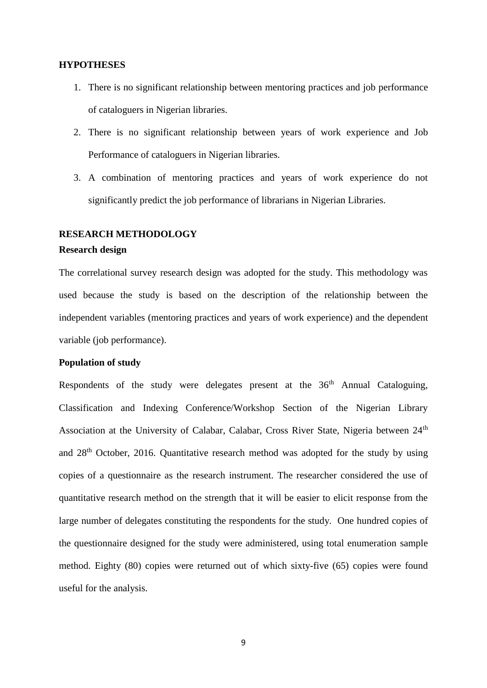#### **HYPOTHESES**

- 1. There is no significant relationship between mentoring practices and job performance of cataloguers in Nigerian libraries.
- 2. There is no significant relationship between years of work experience and Job Performance of cataloguers in Nigerian libraries.
- 3. A combination of mentoring practices and years of work experience do not significantly predict the job performance of librarians in Nigerian Libraries.

## **RESEARCH METHODOLOGY**

#### **Research design**

The correlational survey research design was adopted for the study. This methodology was used because the study is based on the description of the relationship between the independent variables (mentoring practices and years of work experience) and the dependent variable (job performance).

#### **Population of study**

Respondents of the study were delegates present at the  $36<sup>th</sup>$  Annual Cataloguing, Classification and Indexing Conference/Workshop Section of the Nigerian Library Association at the University of Calabar, Calabar, Cross River State, Nigeria between 24<sup>th</sup> and 28th October, 2016. Quantitative research method was adopted for the study by using copies of a questionnaire as the research instrument. The researcher considered the use of quantitative research method on the strength that it will be easier to elicit response from the large number of delegates constituting the respondents for the study. One hundred copies of the questionnaire designed for the study were administered, using total enumeration sample method. Eighty (80) copies were returned out of which sixty-five (65) copies were found useful for the analysis.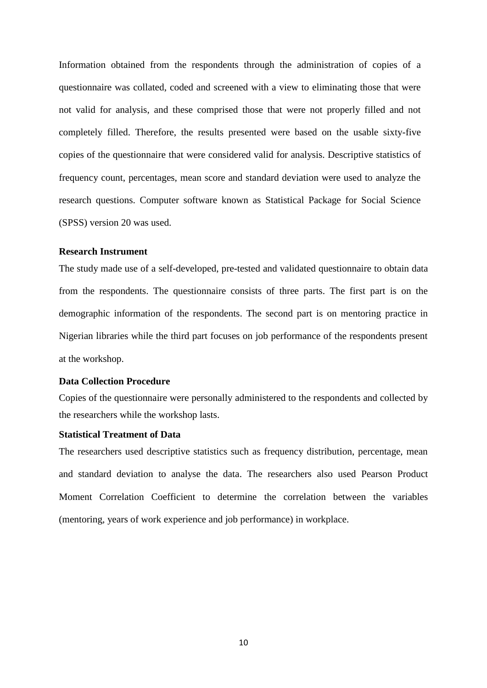Information obtained from the respondents through the administration of copies of a questionnaire was collated, coded and screened with a view to eliminating those that were not valid for analysis, and these comprised those that were not properly filled and not completely filled. Therefore, the results presented were based on the usable sixty-five copies of the questionnaire that were considered valid for analysis. Descriptive statistics of frequency count, percentages, mean score and standard deviation were used to analyze the research questions. Computer software known as Statistical Package for Social Science (SPSS) version 20 was used.

#### **Research Instrument**

The study made use of a self-developed, pre-tested and validated questionnaire to obtain data from the respondents. The questionnaire consists of three parts. The first part is on the demographic information of the respondents. The second part is on mentoring practice in Nigerian libraries while the third part focuses on job performance of the respondents present at the workshop.

# **Data Collection Procedure**

Copies of the questionnaire were personally administered to the respondents and collected by the researchers while the workshop lasts.

#### **Statistical Treatment of Data**

The researchers used descriptive statistics such as frequency distribution, percentage, mean and standard deviation to analyse the data. The researchers also used Pearson Product Moment Correlation Coefficient to determine the correlation between the variables (mentoring, years of work experience and job performance) in workplace.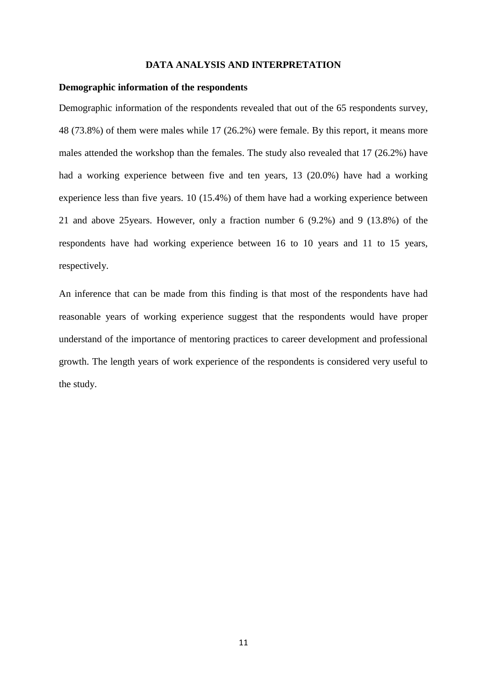#### **DATA ANALYSIS AND INTERPRETATION**

#### **Demographic information of the respondents**

Demographic information of the respondents revealed that out of the 65 respondents survey, 48 (73.8%) of them were males while 17 (26.2%) were female. By this report, it means more males attended the workshop than the females. The study also revealed that 17 (26.2%) have had a working experience between five and ten years, 13 (20.0%) have had a working experience less than five years. 10 (15.4%) of them have had a working experience between 21 and above 25years. However, only a fraction number 6 (9.2%) and 9 (13.8%) of the respondents have had working experience between 16 to 10 years and 11 to 15 years, respectively.

An inference that can be made from this finding is that most of the respondents have had reasonable years of working experience suggest that the respondents would have proper understand of the importance of mentoring practices to career development and professional growth. The length years of work experience of the respondents is considered very useful to the study.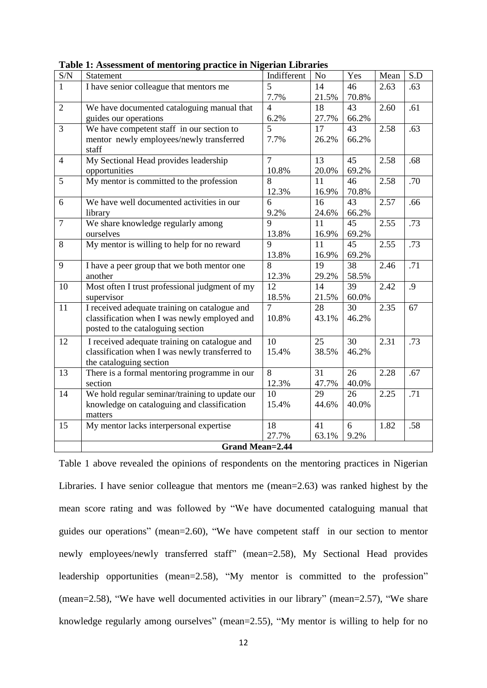| $\ensuremath{\mathrm{S/N}}$ | Statement                                      | Indifferent    | No    | Yes   | Mean | S.D |  |  |  |
|-----------------------------|------------------------------------------------|----------------|-------|-------|------|-----|--|--|--|
| $\mathbf{1}$                | I have senior colleague that mentors me        | 5              | 14    | 46    | 2.63 | .63 |  |  |  |
|                             |                                                | 7.7%           | 21.5% | 70.8% |      |     |  |  |  |
| $\overline{2}$              | We have documented cataloguing manual that     | $\overline{4}$ | 18    | 43    | 2.60 | .61 |  |  |  |
|                             | guides our operations                          | 6.2%           | 27.7% | 66.2% |      |     |  |  |  |
| $\overline{3}$              | We have competent staff in our section to      | 5              | 17    | 43    | 2.58 | .63 |  |  |  |
|                             | mentor newly employees/newly transferred       | 7.7%           | 26.2% | 66.2% |      |     |  |  |  |
|                             | staff                                          |                |       |       |      |     |  |  |  |
| $\overline{4}$              | My Sectional Head provides leadership          | $\overline{7}$ | 13    | 45    | 2.58 | .68 |  |  |  |
|                             | opportunities                                  | 10.8%          | 20.0% | 69.2% |      |     |  |  |  |
| 5                           | My mentor is committed to the profession       | 8              | 11    | 46    | 2.58 | .70 |  |  |  |
|                             |                                                | 12.3%          | 16.9% | 70.8% |      |     |  |  |  |
| 6                           | We have well documented activities in our      | 6              | 16    | 43    | 2.57 | .66 |  |  |  |
|                             | library                                        | 9.2%           | 24.6% | 66.2% |      |     |  |  |  |
| $\tau$                      | We share knowledge regularly among             | 9              | 11    | 45    | 2.55 | .73 |  |  |  |
|                             | ourselves                                      | 13.8%          | 16.9% | 69.2% |      |     |  |  |  |
| 8                           | My mentor is willing to help for no reward     | 9              | 11    | 45    | 2.55 | .73 |  |  |  |
|                             |                                                | 13.8%          | 16.9% | 69.2% |      |     |  |  |  |
| 9                           | I have a peer group that we both mentor one    | 8              | 19    | 38    | 2.46 | .71 |  |  |  |
|                             | another                                        | 12.3%          | 29.2% | 58.5% |      |     |  |  |  |
| 10                          | Most often I trust professional judgment of my | 12             | 14    | 39    | 2.42 | .9  |  |  |  |
|                             | supervisor                                     | 18.5%          | 21.5% | 60.0% |      |     |  |  |  |
| 11                          | I received adequate training on catalogue and  | $\overline{7}$ | 28    | 30    | 2.35 | 67  |  |  |  |
|                             | classification when I was newly employed and   | 10.8%          | 43.1% | 46.2% |      |     |  |  |  |
|                             | posted to the cataloguing section              |                |       |       |      |     |  |  |  |
| 12                          | I received adequate training on catalogue and  | 10             | 25    | 30    | 2.31 | .73 |  |  |  |
|                             | classification when I was newly transferred to | 15.4%          | 38.5% | 46.2% |      |     |  |  |  |
|                             | the cataloguing section                        |                |       |       |      |     |  |  |  |
| 13                          | There is a formal mentoring programme in our   | 8              | 31    | 26    | 2.28 | .67 |  |  |  |
|                             | section                                        | 12.3%          | 47.7% | 40.0% |      |     |  |  |  |
| 14                          | We hold regular seminar/training to update our | 10             | 29    | 26    | 2.25 | .71 |  |  |  |
|                             | knowledge on cataloguing and classification    | 15.4%          | 44.6% | 40.0% |      |     |  |  |  |
|                             | matters                                        |                |       |       |      |     |  |  |  |
| 15                          | My mentor lacks interpersonal expertise        | 18             | 41    | 6     | 1.82 | .58 |  |  |  |
|                             |                                                | 27.7%          | 63.1% | 9.2%  |      |     |  |  |  |
|                             | <b>Grand Mean=2.44</b>                         |                |       |       |      |     |  |  |  |

**Table 1: Assessment of mentoring practice in Nigerian Libraries**

Table 1 above revealed the opinions of respondents on the mentoring practices in Nigerian Libraries. I have senior colleague that mentors me (mean=2.63) was ranked highest by the mean score rating and was followed by "We have documented cataloguing manual that guides our operations" (mean=2.60), "We have competent staff in our section to mentor newly employees/newly transferred staff" (mean=2.58), My Sectional Head provides leadership opportunities (mean=2.58), "My mentor is committed to the profession" (mean=2.58), "We have well documented activities in our library" (mean=2.57), "We share knowledge regularly among ourselves" (mean=2.55), "My mentor is willing to help for no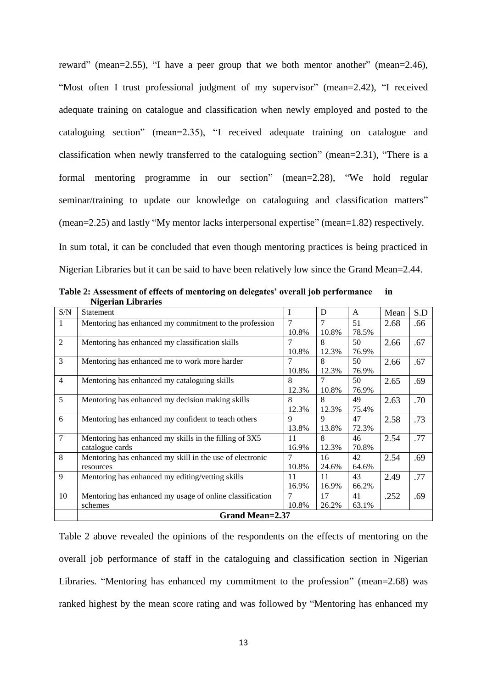reward" (mean=2.55), "I have a peer group that we both mentor another" (mean=2.46), "Most often I trust professional judgment of my supervisor" (mean=2.42), "I received adequate training on catalogue and classification when newly employed and posted to the cataloguing section" (mean=2.35), "I received adequate training on catalogue and classification when newly transferred to the cataloguing section" (mean=2.31), "There is a formal mentoring programme in our section" (mean=2.28), "We hold regular seminar/training to update our knowledge on cataloguing and classification matters" (mean=2.25) and lastly "My mentor lacks interpersonal expertise" (mean=1.82) respectively.

In sum total, it can be concluded that even though mentoring practices is being practiced in Nigerian Libraries but it can be said to have been relatively low since the Grand Mean=2.44.

|                | $\mathbf{H}$ , $\mathbf{H}$ , $\mathbf{H}$ , $\mathbf{H}$ , $\mathbf{H}$ , $\mathbf{H}$ , $\mathbf{H}$ |                |       |              |      |     |  |  |  |
|----------------|--------------------------------------------------------------------------------------------------------|----------------|-------|--------------|------|-----|--|--|--|
| S/N            | Statement                                                                                              | I              | D     | $\mathbf{A}$ | Mean | S.D |  |  |  |
| 1              | Mentoring has enhanced my commitment to the profession                                                 | 7              | 7     | 51           | 2.68 | .66 |  |  |  |
|                |                                                                                                        | 10.8%          | 10.8% | 78.5%        |      |     |  |  |  |
| $\overline{2}$ | Mentoring has enhanced my classification skills                                                        | $\overline{7}$ | 8     | 50           | 2.66 | .67 |  |  |  |
|                |                                                                                                        | 10.8%          | 12.3% | 76.9%        |      |     |  |  |  |
| 3              | Mentoring has enhanced me to work more harder                                                          | 7              | 8     | 50           | 2.66 | .67 |  |  |  |
|                |                                                                                                        | 10.8%          | 12.3% | 76.9%        |      |     |  |  |  |
| $\overline{4}$ | Mentoring has enhanced my cataloguing skills                                                           | 8              | 7     | 50           | 2.65 | .69 |  |  |  |
|                |                                                                                                        | 12.3%          | 10.8% | 76.9%        |      |     |  |  |  |
| 5              | Mentoring has enhanced my decision making skills                                                       | 8              | 8     | 49           | 2.63 | .70 |  |  |  |
|                |                                                                                                        | 12.3%          | 12.3% | 75.4%        |      |     |  |  |  |
| 6              | Mentoring has enhanced my confident to teach others                                                    | 9              | 9     | 47           | 2.58 | .73 |  |  |  |
|                |                                                                                                        | 13.8%          | 13.8% | 72.3%        |      |     |  |  |  |
| $\overline{7}$ | Mentoring has enhanced my skills in the filling of 3X5                                                 | 11             | 8     | 46           | 2.54 | .77 |  |  |  |
|                | catalogue cards                                                                                        | 16.9%          | 12.3% | 70.8%        |      |     |  |  |  |
| 8              | Mentoring has enhanced my skill in the use of electronic                                               | 7              | 16    | 42           | 2.54 | .69 |  |  |  |
|                | resources                                                                                              | 10.8%          | 24.6% | 64.6%        |      |     |  |  |  |
| 9              | Mentoring has enhanced my editing/vetting skills                                                       | 11             | 11    | 43           | 2.49 | .77 |  |  |  |
|                |                                                                                                        | 16.9%          | 16.9% | 66.2%        |      |     |  |  |  |
| 10             | Mentoring has enhanced my usage of online classification                                               | 7              | 17    | 41           | .252 | .69 |  |  |  |
|                | schemes                                                                                                | 10.8%          | 26.2% | 63.1%        |      |     |  |  |  |
|                | <b>Grand Mean=2.37</b>                                                                                 |                |       |              |      |     |  |  |  |

**Table 2: Assessment of effects of mentoring on delegates' overall job performance in Nigerian Libraries**

Table 2 above revealed the opinions of the respondents on the effects of mentoring on the overall job performance of staff in the cataloguing and classification section in Nigerian Libraries. "Mentoring has enhanced my commitment to the profession" (mean=2.68) was ranked highest by the mean score rating and was followed by "Mentoring has enhanced my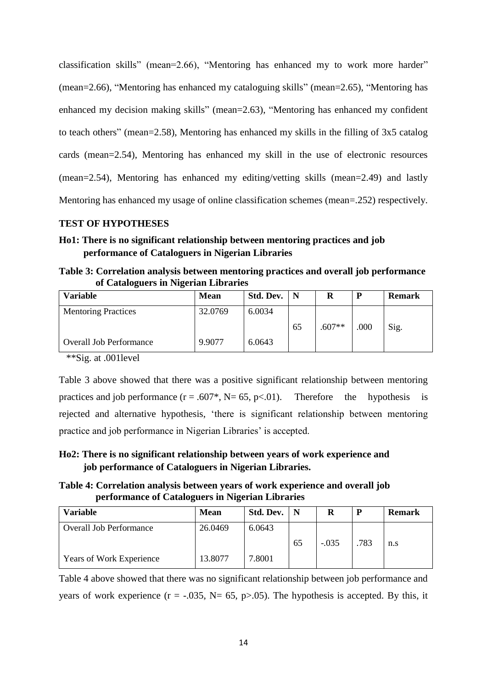classification skills" (mean=2.66), "Mentoring has enhanced my to work more harder" (mean=2.66), "Mentoring has enhanced my cataloguing skills" (mean=2.65), "Mentoring has enhanced my decision making skills" (mean=2.63), "Mentoring has enhanced my confident to teach others" (mean=2.58), Mentoring has enhanced my skills in the filling of 3x5 catalog cards (mean=2.54), Mentoring has enhanced my skill in the use of electronic resources (mean=2.54), Mentoring has enhanced my editing/vetting skills (mean=2.49) and lastly Mentoring has enhanced my usage of online classification schemes (mean=.252) respectively.

# **TEST OF HYPOTHESES**

# **Ho1: There is no significant relationship between mentoring practices and job performance of Cataloguers in Nigerian Libraries**

**Table 3: Correlation analysis between mentoring practices and overall job performance of Cataloguers in Nigerian Libraries**

| <b>Variable</b>                | <b>Mean</b> | Std. Dev. | N  | R        | P    | <b>Remark</b> |
|--------------------------------|-------------|-----------|----|----------|------|---------------|
| <b>Mentoring Practices</b>     | 32.0769     | 6.0034    |    |          |      |               |
|                                |             |           | 65 | $.607**$ | .000 | Sig.          |
| <b>Overall Job Performance</b> | 9.9077      | 6.0643    |    |          |      |               |

\*\*Sig. at .001level

Table 3 above showed that there was a positive significant relationship between mentoring practices and job performance  $(r = .607^*$ , N= 65, p<.01). Therefore the hypothesis is rejected and alternative hypothesis, 'there is significant relationship between mentoring practice and job performance in Nigerian Libraries' is accepted.

# **Ho2: There is no significant relationship between years of work experience and job performance of Cataloguers in Nigerian Libraries.**

**Table 4: Correlation analysis between years of work experience and overall job performance of Cataloguers in Nigerian Libraries**

| <b>Variable</b>                 | <b>Mean</b> | Std. Dev. | N  | R       | P    | <b>Remark</b> |
|---------------------------------|-------------|-----------|----|---------|------|---------------|
| <b>Overall Job Performance</b>  | 26.0469     | 6.0643    |    |         |      |               |
|                                 |             |           | 65 | $-.035$ | .783 | n.s           |
| <b>Years of Work Experience</b> | 13.8077     | 7.8001    |    |         |      |               |

Table 4 above showed that there was no significant relationship between job performance and years of work experience ( $r = -.035$ ,  $N = 65$ ,  $p > .05$ ). The hypothesis is accepted. By this, it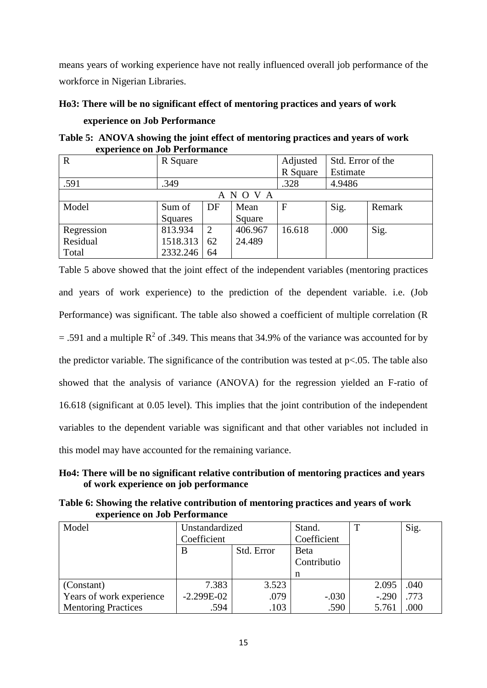means years of working experience have not really influenced overall job performance of the workforce in Nigerian Libraries.

# **Ho3: There will be no significant effect of mentoring practices and years of work**

## **experience on Job Performance**

**Table 5: ANOVA showing the joint effect of mentoring practices and years of work experience on Job Performance** 

| $\mathbf R$ | R Square |    |         | Adjusted | Std. Error of the |        |  |  |  |
|-------------|----------|----|---------|----------|-------------------|--------|--|--|--|
|             |          |    |         | R Square | Estimate          |        |  |  |  |
| .591        | .349     |    |         | .328     | 4.9486            |        |  |  |  |
|             | ANOVA    |    |         |          |                   |        |  |  |  |
| Model       | Sum of   | DF | Mean    | F        | Sig.              | Remark |  |  |  |
|             | Squares  |    | Square  |          |                   |        |  |  |  |
| Regression  | 813.934  | 2  | 406.967 | 16.618   | .000              | Sig.   |  |  |  |
| Residual    | 1518.313 | 62 | 24.489  |          |                   |        |  |  |  |
| Total       | 2332.246 | 64 |         |          |                   |        |  |  |  |

Table 5 above showed that the joint effect of the independent variables (mentoring practices and years of work experience) to the prediction of the dependent variable. i.e. (Job Performance) was significant. The table also showed a coefficient of multiple correlation (R  $= .591$  and a multiple R<sup>2</sup> of .349. This means that 34.9% of the variance was accounted for by the predictor variable. The significance of the contribution was tested at  $p<.05$ . The table also showed that the analysis of variance (ANOVA) for the regression yielded an F-ratio of 16.618 (significant at 0.05 level). This implies that the joint contribution of the independent variables to the dependent variable was significant and that other variables not included in this model may have accounted for the remaining variance.

# **Ho4: There will be no significant relative contribution of mentoring practices and years of work experience on job performance**

**Table 6: Showing the relative contribution of mentoring practices and years of work experience on Job Performance**

| Model                      | Unstandardized  |       | Stand.      | m       | Sig. |
|----------------------------|-----------------|-------|-------------|---------|------|
|                            | Coefficient     |       | Coefficient |         |      |
|                            | Std. Error<br>B |       | Beta        |         |      |
|                            |                 |       | Contributio |         |      |
|                            |                 |       | n           |         |      |
| (Constant)                 | 7.383           | 3.523 |             | 2.095   | .040 |
| Years of work experience   | $-2.299E-02$    | .079  | $-.030$     | $-.290$ | .773 |
| <b>Mentoring Practices</b> | .594            | .103  | .590        | 5.761   | .000 |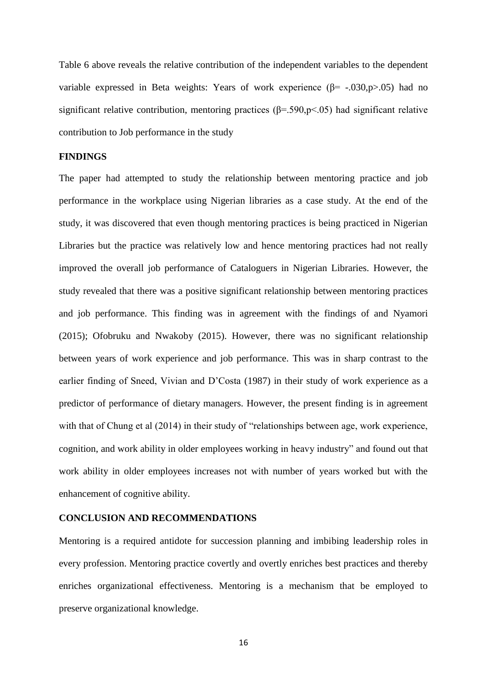Table 6 above reveals the relative contribution of the independent variables to the dependent variable expressed in Beta weights: Years of work experience ( $\beta$ = -.030,p>.05) had no significant relative contribution, mentoring practices ( $\beta$ =.590,p<.05) had significant relative contribution to Job performance in the study

## **FINDINGS**

The paper had attempted to study the relationship between mentoring practice and job performance in the workplace using Nigerian libraries as a case study. At the end of the study, it was discovered that even though mentoring practices is being practiced in Nigerian Libraries but the practice was relatively low and hence mentoring practices had not really improved the overall job performance of Cataloguers in Nigerian Libraries. However, the study revealed that there was a positive significant relationship between mentoring practices and job performance. This finding was in agreement with the findings of and Nyamori (2015); Ofobruku and Nwakoby (2015). However, there was no significant relationship between years of work experience and job performance. This was in sharp contrast to the earlier finding of Sneed, Vivian and D'Costa (1987) in their study of work experience as a predictor of performance of dietary managers. However, the present finding is in agreement with that of Chung et al (2014) in their study of "relationships between age, work experience, cognition, and work ability in older employees working in heavy industry" and found out that work ability in older employees increases not with number of years worked but with the enhancement of cognitive ability.

## **CONCLUSION AND RECOMMENDATIONS**

Mentoring is a required antidote for succession planning and imbibing leadership roles in every profession. Mentoring practice covertly and overtly enriches best practices and thereby enriches organizational effectiveness. Mentoring is a mechanism that be employed to preserve organizational knowledge.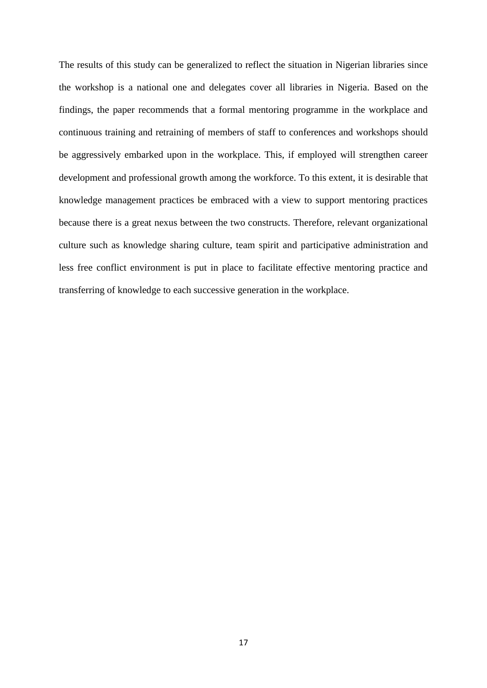The results of this study can be generalized to reflect the situation in Nigerian libraries since the workshop is a national one and delegates cover all libraries in Nigeria. Based on the findings, the paper recommends that a formal mentoring programme in the workplace and continuous training and retraining of members of staff to conferences and workshops should be aggressively embarked upon in the workplace. This, if employed will strengthen career development and professional growth among the workforce. To this extent, it is desirable that knowledge management practices be embraced with a view to support mentoring practices because there is a great nexus between the two constructs. Therefore, relevant organizational culture such as knowledge sharing culture, team spirit and participative administration and less free conflict environment is put in place to facilitate effective mentoring practice and transferring of knowledge to each successive generation in the workplace.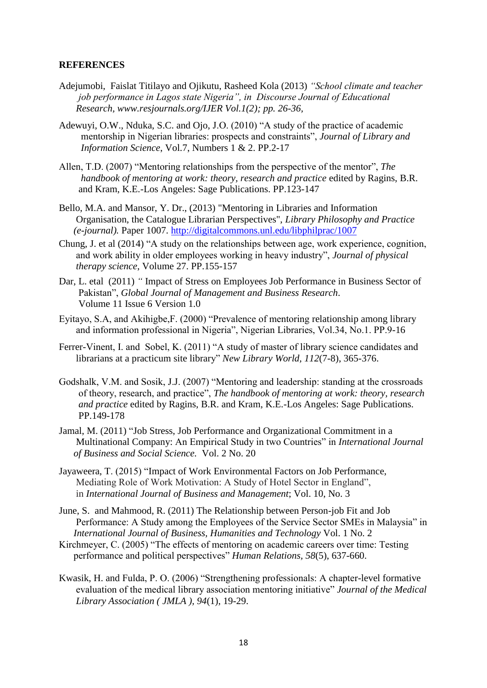## **REFERENCES**

- Adejumobi, Faislat Titilayo and Ojikutu, Rasheed Kola (2013) *"School climate and teacher job performance in Lagos state Nigeria", in Discourse Journal of Educational Research, www.resjournals.org/IJER Vol.1(2); pp. 26-36,*
- Adewuyi, O.W., Nduka, S.C. and Ojo, J.O. (2010) "A study of the practice of academic mentorship in Nigerian libraries: prospects and constraints", *Journal of Library and Information Science*, Vol.7, Numbers 1 & 2. PP.2-17
- Allen, T.D. (2007) "Mentoring relationships from the perspective of the mentor", *The handbook of mentoring at work: theory, research and practice* edited by Ragins, B.R. and Kram, K.E.-Los Angeles: Sage Publications. PP.123-147
- Bello, M.A. and Mansor, Y. Dr., (2013) "Mentoring in Libraries and Information Organisation, the Catalogue Librarian Perspectives", *Library Philosophy and Practice (e-journal).* Paper 1007.<http://digitalcommons.unl.edu/libphilprac/1007>
- Chung, J. et al (2014) "A study on the relationships between age, work experience, cognition, and work ability in older employees working in heavy industry", *Journal of physical therapy science*, Volume 27. PP.155-157
- Dar, L. etal (2011) *"* Impact of Stress on Employees Job Performance in Business Sector of Pakistan", *Global Journal of Management and Business Research*. Volume 11 Issue 6 Version 1.0
- Eyitayo, S.A, and Akihigbe,F. (2000) "Prevalence of mentoring relationship among library and information professional in Nigeria", Nigerian Libraries, Vol.34, No.1. PP.9-16
- Ferrer-Vinent, I. and Sobel, K. (2011) "A study of master of library science candidates and librarians at a practicum site library" *New Library World, 112*(7-8), 365-376.
- Godshalk, V.M. and Sosik, J.J. (2007) "Mentoring and leadership: standing at the crossroads of theory, research, and practice", *The handbook of mentoring at work: theory, research and practice* edited by Ragins, B.R. and Kram, K.E.-Los Angeles: Sage Publications. PP.149-178
- Jamal, M. (2011) "Job Stress, Job Performance and Organizational Commitment in a Multinational Company: An Empirical Study in two Countries" in *International Journal of Business and Social Science.* Vol. 2 No. 20
- Jayaweera, T. (2015) "Impact of Work Environmental Factors on Job Performance, Mediating Role of Work Motivation: A Study of Hotel Sector in England", in *International Journal of Business and Management*; Vol. 10, No. 3
- June, S. and Mahmood, R. (2011) The Relationship between Person-job Fit and Job Performance: A Study among the Employees of the Service Sector SMEs in Malaysia" in *International Journal of Business, Humanities and Technology* Vol. 1 No. 2
- Kirchmeyer, C. (2005) "The effects of mentoring on academic careers over time: Testing performance and political perspectives" *Human Relations, 58*(5), 637-660.
- Kwasik, H. and Fulda, P. O. (2006) "Strengthening professionals: A chapter-level formative evaluation of the medical library association mentoring initiative" *Journal of the Medical Library Association ( JMLA ), 94*(1), 19-29.